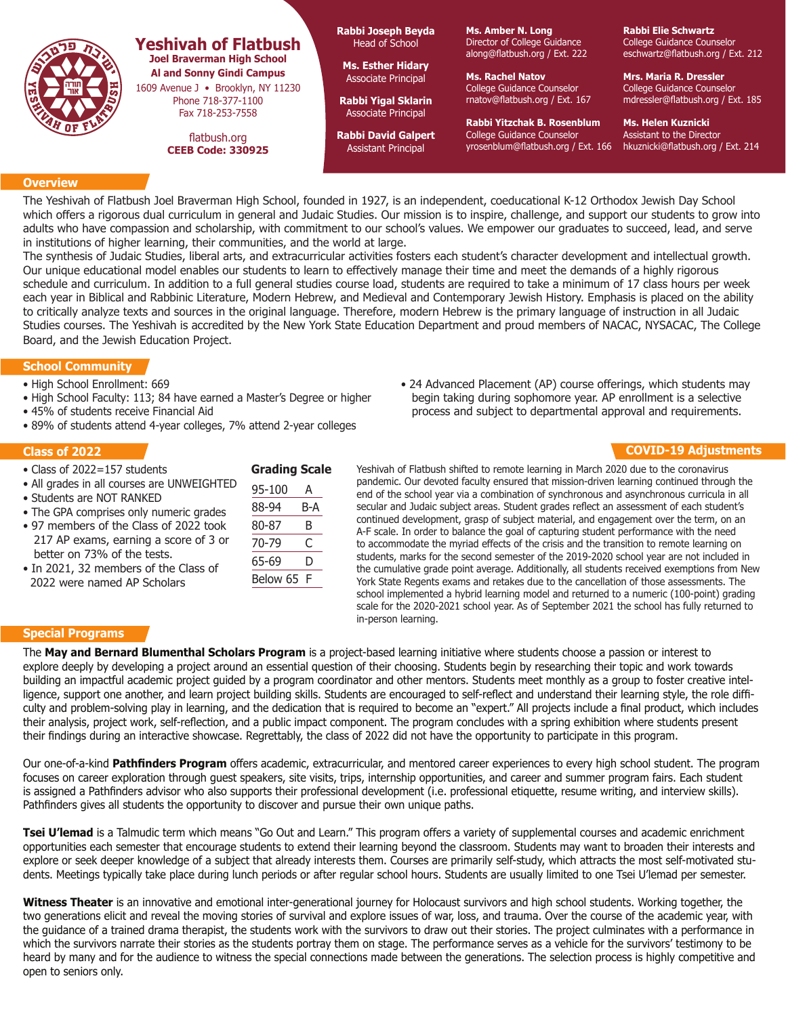

# **Yeshivah of Flatbush Joel Braverman High School Al and Sonny Gindi Campus**

1609 Avenue J • Brooklyn, NY 11230 Phone 718-377-1100 Fax 718-253-7558

> flatbush.org **CEEB Code: 330925**

**Rabbi Joseph Beyda** Head of School

**Ms. Esther Hidary** Associate Principal

**Rabbi Yigal Sklarin** Associate Principal

**Rabbi David Galpert** Assistant Principal

**Ms. Amber N. Long** Director of College Guidance along@flatbush.org / Ext. 222

**Ms. Rachel Natov** College Guidance Counselor rnatov@flatbush.org / Ext. 167

**Rabbi Yitzchak B. Rosenblum** College Guidance Counselor yrosenblum@flatbush.org / Ext. 166 **Rabbi Elie Schwartz** College Guidance Counselor eschwartz@flatbush.org / Ext. 212

**Mrs. Maria R. Dressler** College Guidance Counselor mdressler@flatbush.org / Ext. 185

**Ms. Helen Kuznicki** Assistant to the Director hkuznicki@flatbush.org / Ext. 214

### **Overview**

The Yeshivah of Flatbush Joel Braverman High School, founded in 1927, is an independent, coeducational K-12 Orthodox Jewish Day School which offers a rigorous dual curriculum in general and Judaic Studies. Our mission is to inspire, challenge, and support our students to grow into adults who have compassion and scholarship, with commitment to our school's values. We empower our graduates to succeed, lead, and serve in institutions of higher learning, their communities, and the world at large.

The synthesis of Judaic Studies, liberal arts, and extracurricular activities fosters each student's character development and intellectual growth. Our unique educational model enables our students to learn to effectively manage their time and meet the demands of a highly rigorous schedule and curriculum. In addition to a full general studies course load, students are required to take a minimum of 17 class hours per week each year in Biblical and Rabbinic Literature, Modern Hebrew, and Medieval and Contemporary Jewish History. Emphasis is placed on the ability to critically analyze texts and sources in the original language. Therefore, modern Hebrew is the primary language of instruction in all Judaic Studies courses. The Yeshivah is accredited by the New York State Education Department and proud members of NACAC, NYSACAC, The College Board, and the Jewish Education Project.

## **School Community**

- High School Enrollment: 669
- High School Faculty: 113; 84 have earned a Master's Degree or higher
- 45% of students receive Financial Aid
- 89% of students attend 4-year colleges, 7% attend 2-year colleges

#### **Class of 2022**

- Class of 2022=157 students
- All grades in all courses are UNWEIGHTED
- Students are NOT RANKED
- The GPA comprises only numeric grades
- 97 members of the Class of 2022 took 217 AP exams, earning a score of 3 or better on 73% of the tests.
- In 2021, 32 members of the Class of 2022 were named AP Scholars

| 95-100   | А   |
|----------|-----|
| 88-94    | B-A |
| 80-87    | B   |
| 70-79    | C   |
| 65-69    | D   |
| Below 65 | F   |

**Grading Scale**

• 24 Advanced Placement (AP) course offerings, which students may begin taking during sophomore year. AP enrollment is a selective process and subject to departmental approval and requirements.

## **COVID-19 Adjustments**

Yeshivah of Flatbush shifted to remote learning in March 2020 due to the coronavirus pandemic. Our devoted faculty ensured that mission-driven learning continued through the end of the school year via a combination of synchronous and asynchronous curricula in all secular and Judaic subject areas. Student grades reflect an assessment of each student's continued development, grasp of subject material, and engagement over the term, on an A-F scale. In order to balance the goal of capturing student performance with the need to accommodate the myriad effects of the crisis and the transition to remote learning on students, marks for the second semester of the 2019-2020 school year are not included in the cumulative grade point average. Additionally, all students received exemptions from New York State Regents exams and retakes due to the cancellation of those assessments. The school implemented a hybrid learning model and returned to a numeric (100-point) grading scale for the 2020-2021 school year. As of September 2021 the school has fully returned to in-person learning.

#### **Special Programs**

The **May and Bernard Blumenthal Scholars Program** is a project-based learning initiative where students choose a passion or interest to explore deeply by developing a project around an essential question of their choosing. Students begin by researching their topic and work towards building an impactful academic project guided by a program coordinator and other mentors. Students meet monthly as a group to foster creative intelligence, support one another, and learn project building skills. Students are encouraged to self-reflect and understand their learning style, the role difficulty and problem-solving play in learning, and the dedication that is required to become an "expert." All projects include a final product, which includes their analysis, project work, self-reflection, and a public impact component. The program concludes with a spring exhibition where students present their findings during an interactive showcase. Regrettably, the class of 2022 did not have the opportunity to participate in this program.

Our one-of-a-kind **Pathfinders Program** offers academic, extracurricular, and mentored career experiences to every high school student. The program focuses on career exploration through guest speakers, site visits, trips, internship opportunities, and career and summer program fairs. Each student is assigned a Pathfinders advisor who also supports their professional development (i.e. professional etiquette, resume writing, and interview skills). Pathfinders gives all students the opportunity to discover and pursue their own unique paths.

**Tsei U'lemad** is a Talmudic term which means "Go Out and Learn." This program offers a variety of supplemental courses and academic enrichment opportunities each semester that encourage students to extend their learning beyond the classroom. Students may want to broaden their interests and explore or seek deeper knowledge of a subject that already interests them. Courses are primarily self-study, which attracts the most self-motivated students. Meetings typically take place during lunch periods or after regular school hours. Students are usually limited to one Tsei U'lemad per semester.

**Witness Theater** is an innovative and emotional inter-generational journey for Holocaust survivors and high school students. Working together, the two generations elicit and reveal the moving stories of survival and explore issues of war, loss, and trauma. Over the course of the academic year, with the guidance of a trained drama therapist, the students work with the survivors to draw out their stories. The project culminates with a performance in which the survivors narrate their stories as the students portray them on stage. The performance serves as a vehicle for the survivors' testimony to be heard by many and for the audience to witness the special connections made between the generations. The selection process is highly competitive and open to seniors only.